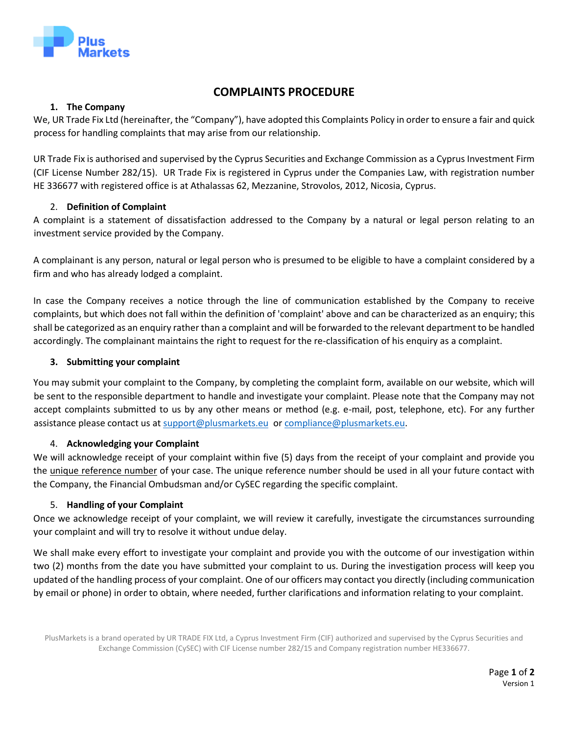

# **COMPLAINTS PROCEDURE**

# **1. The Company**

We, UR Trade Fix Ltd (hereinafter, the "Company"), have adopted this Complaints Policy in order to ensure a fair and quick process for handling complaints that may arise from our relationship.

UR Trade Fix is authorised and supervised by the Cyprus Securities and Exchange Commission as a Cyprus Investment Firm (CIF License Number 282/15). UR Trade Fix is registered in Cyprus under the Companies Law, with registration number HE 336677 with registered office is at Athalassas 62, Mezzanine, Strovolos, 2012, Nicosia, Cyprus.

# 2. **Definition of Complaint**

A complaint is a statement of dissatisfaction addressed to the Company by a natural or legal person relating to an investment service provided by the Company.

A complainant is any person, natural or legal person who is presumed to be eligible to have a complaint considered by a firm and who has already lodged a complaint.

In case the Company receives a notice through the line of communication established by the Company to receive complaints, but which does not fall within the definition of 'complaint' above and can be characterized as an enquiry; this shall be categorized as an enquiry rather than a complaint and will be forwarded to the relevant department to be handled accordingly. The complainant maintains the right to request for the re-classification of his enquiry as a complaint.

# **3. Submitting your complaint**

You may submit your complaint to the Company, by completing the complaint form, available on our website, which will be sent to the responsible department to handle and investigate your complaint. Please note that the Company may not accept complaints submitted to us by any other means or method (e.g. e-mail, post, telephone, etc). For any further assistance please contact us at [support@plusmarkets.eu](mailto:support@plusmarkets.eu) o[r compliance@plusmarkets.eu.](mailto:compliance@plusmarkets.eu)

# 4. **Acknowledging your Complaint**

We will acknowledge receipt of your complaint within five (5) days from the receipt of your complaint and provide you the unique reference number of your case. The unique reference number should be used in all your future contact with the Company, the Financial Ombudsman and/or CySEC regarding the specific complaint.

# 5. **Handling of your Complaint**

Once we acknowledge receipt of your complaint, we will review it carefully, investigate the circumstances surrounding your complaint and will try to resolve it without undue delay.

We shall make every effort to investigate your complaint and provide you with the outcome of our investigation within two (2) months from the date you have submitted your complaint to us. During the investigation process will keep you updated of the handling process of your complaint. One of our officers may contact you directly (including communication by email or phone) in order to obtain, where needed, further clarifications and information relating to your complaint.

PlusMarkets is a brand operated by UR TRADE FIX Ltd, a Cyprus Investment Firm (CIF) authorized and supervised by the Cyprus Securities and Exchange Commission (CySEC) with CIF License number 282/15 and Company registration number HE336677.